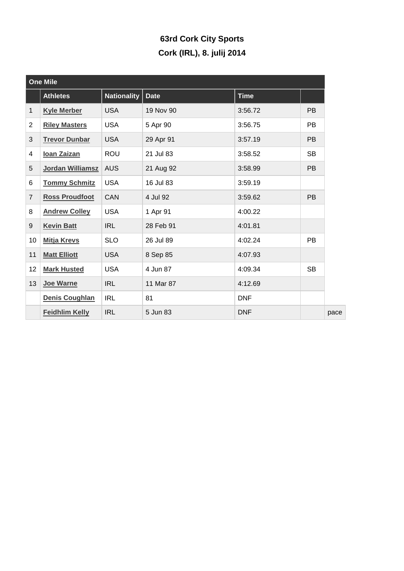## **63rd Cork City Sports Cork (IRL), 8. julij 2014**

| <b>One Mile</b> |                       |                    |             |             |           |  |  |  |
|-----------------|-----------------------|--------------------|-------------|-------------|-----------|--|--|--|
|                 | <b>Athletes</b>       | <b>Nationality</b> | <b>Date</b> | <b>Time</b> |           |  |  |  |
| $\mathbf{1}$    | <b>Kyle Merber</b>    | <b>USA</b>         | 19 Nov 90   | 3:56.72     | <b>PB</b> |  |  |  |
| $\overline{2}$  | <b>Riley Masters</b>  | <b>USA</b>         | 5 Apr 90    | 3:56.75     | <b>PB</b> |  |  |  |
| 3               | <b>Trevor Dunbar</b>  | <b>USA</b>         | 29 Apr 91   | 3:57.19     | <b>PB</b> |  |  |  |
| 4               | <b>loan Zaizan</b>    | ROU                | 21 Jul 83   | 3:58.52     | <b>SB</b> |  |  |  |
| 5               | Jordan Williamsz      | <b>AUS</b>         | 21 Aug 92   | 3:58.99     | <b>PB</b> |  |  |  |
| 6               | <b>Tommy Schmitz</b>  | <b>USA</b>         | 16 Jul 83   | 3:59.19     |           |  |  |  |
| $\overline{7}$  | <b>Ross Proudfoot</b> | <b>CAN</b>         | 4 Jul 92    | 3:59.62     | <b>PB</b> |  |  |  |
| 8               | <b>Andrew Colley</b>  | <b>USA</b>         | 1 Apr 91    | 4:00.22     |           |  |  |  |
| 9               | <b>Kevin Batt</b>     | <b>IRL</b>         | 28 Feb 91   | 4:01.81     |           |  |  |  |
| 10              | <b>Mitja Krevs</b>    | <b>SLO</b>         | 26 Jul 89   | 4:02.24     | <b>PB</b> |  |  |  |
| 11              | <b>Matt Elliott</b>   | <b>USA</b>         | 8 Sep 85    | 4:07.93     |           |  |  |  |
| 12              | <b>Mark Husted</b>    | <b>USA</b>         | 4 Jun 87    | 4:09.34     | <b>SB</b> |  |  |  |
| 13              | Joe Warne             | <b>IRL</b>         | 11 Mar 87   | 4:12.69     |           |  |  |  |
|                 | Denis Coughlan        | <b>IRL</b>         | 81          | <b>DNF</b>  |           |  |  |  |
|                 | <b>Feidhlim Kelly</b> | <b>IRL</b>         | 5 Jun 83    | <b>DNF</b>  |           |  |  |  |